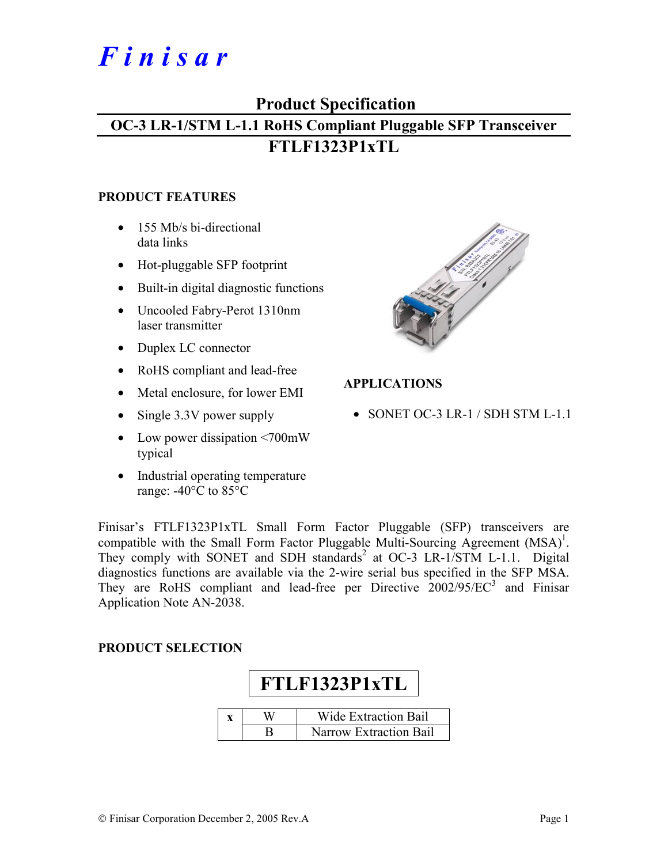# *F i n i s a r*

## **Product Specification**

## **OC-3 LR-1/STM L-1.1 RoHS Compliant Pluggable SFP Transceiver FTLF1323P1xTL**

#### **PRODUCT FEATURES**

- 155 Mb/s bi-directional data links
- Hot-pluggable SFP footprint
- Built-in digital diagnostic functions
- Uncooled Fabry-Perot 1310nm laser transmitter
- Duplex LC connector
- RoHS compliant and lead-free
- Metal enclosure, for lower EMI
- Single 3.3V power supply
- Low power dissipation <700mW typical
- Industrial operating temperature range: -40°C to 85°C



#### **APPLICATIONS**

• SONET OC-3 LR-1 / SDH STM L-1.1

Finisar's FTLF1323P1xTL Small Form Factor Pluggable (SFP) transceivers are compatible with the Small Form Factor Pluggable Multi-Sourcing Agreement  $(MSA)^1$ . They comply with SONET and SDH standards<sup>2</sup> at OC-3 LR-1/STM L-1.1. Digital diagnostics functions are available via the 2-wire serial bus specified in the SFP MSA. They are RoHS compliant and lead-free per Directive  $2002/95/EC^3$  and Finisar Application Note AN-2038.

#### **PRODUCT SELECTION**

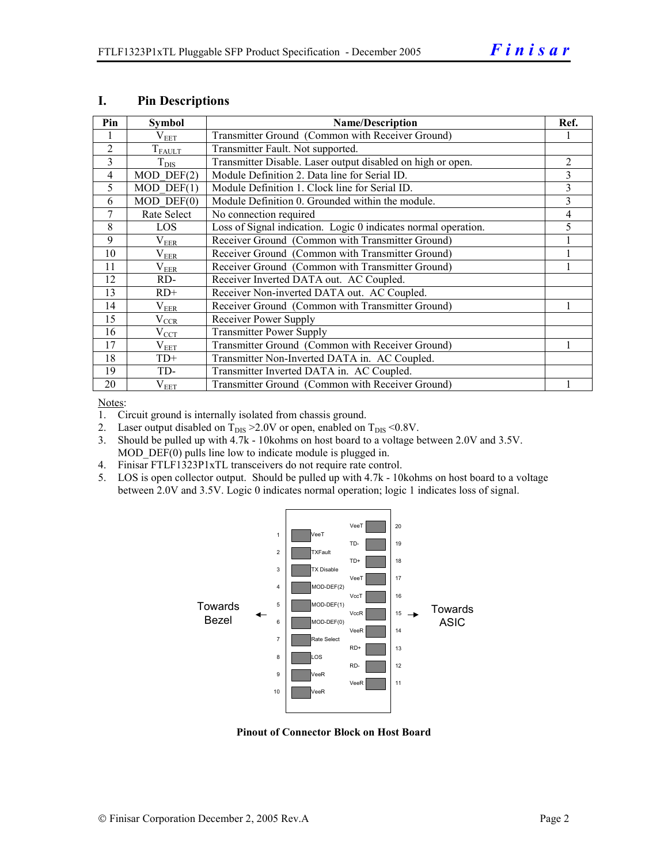| Pin            | <b>Symbol</b>         | <b>Name/Description</b>                                        | Ref. |
|----------------|-----------------------|----------------------------------------------------------------|------|
|                | $\rm V_{EET}$         | Transmitter Ground (Common with Receiver Ground)               |      |
| $\overline{2}$ | $T_{FAULT}$           | Transmitter Fault. Not supported.                              |      |
| 3              | $T_{\rm DIS}$         | Transmitter Disable. Laser output disabled on high or open.    | 2    |
| 4              | $MOD$ $DEF(2)$        | Module Definition 2. Data line for Serial ID.                  | 3    |
| 5              | $MOD$ DEF $(1)$       | Module Definition 1. Clock line for Serial ID.                 | 3    |
| 6              | $MOD$ $DEF(0)$        | Module Definition 0. Grounded within the module.               | 3    |
| 7              | Rate Select           | No connection required                                         | 4    |
| 8              | <b>LOS</b>            | Loss of Signal indication. Logic 0 indicates normal operation. | 5    |
| 9              | $\rm V_{EER}$         | Receiver Ground (Common with Transmitter Ground)               |      |
| 10             | $\rm V_{EER}$         | Receiver Ground (Common with Transmitter Ground)               |      |
| 11             | $\rm V_{EER}$         | Receiver Ground (Common with Transmitter Ground)               |      |
| 12             | RD-                   | Receiver Inverted DATA out. AC Coupled.                        |      |
| 13             | $RD+$                 | Receiver Non-inverted DATA out. AC Coupled.                    |      |
| 14             | $\rm V_{EER}$         | Receiver Ground (Common with Transmitter Ground)               |      |
| 15             | $V_{\underline{CCR}}$ | Receiver Power Supply                                          |      |
| 16             | $V_{CCT}$             | <b>Transmitter Power Supply</b>                                |      |
| 17             | $\rm V_{EET}$         | Transmitter Ground (Common with Receiver Ground)               |      |
| 18             | $TD+$                 | Transmitter Non-Inverted DATA in. AC Coupled.                  |      |
| 19             | TD-                   | Transmitter Inverted DATA in. AC Coupled.                      |      |
| 20             | $V_{EET}$             | Transmitter Ground (Common with Receiver Ground)               |      |

#### **I. Pin Descriptions**

Notes:

1. Circuit ground is internally isolated from chassis ground.

- 2. Laser output disabled on  $T_{DIS} > 2.0V$  or open, enabled on  $T_{DIS} < 0.8V$ .
- 3. Should be pulled up with 4.7k 10kohms on host board to a voltage between 2.0V and 3.5V. MOD  $DEF(0)$  pulls line low to indicate module is plugged in.
- 4. Finisar FTLF1323P1xTL transceivers do not require rate control.
- 5. LOS is open collector output. Should be pulled up with 4.7k 10kohms on host board to a voltage between 2.0V and 3.5V. Logic 0 indicates normal operation; logic 1 indicates loss of signal.



**Pinout of Connector Block on Host Board**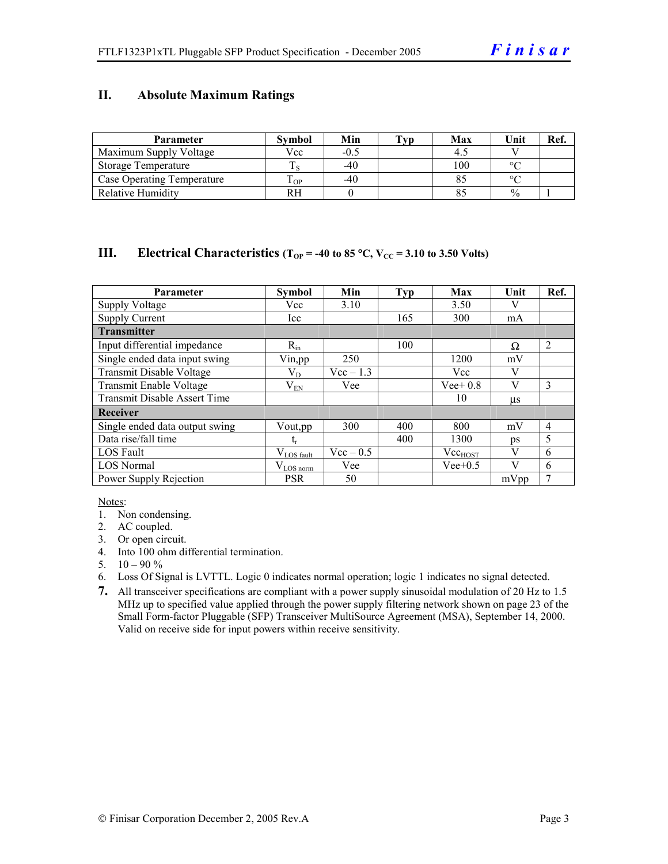#### **II. Absolute Maximum Ratings**

| <b>Parameter</b>                  | <b>Symbol</b> | Min    | Tvp | Max | Unit          | Ref. |
|-----------------------------------|---------------|--------|-----|-----|---------------|------|
| Maximum Supply Voltage            | Vcc           | $-0.5$ |     |     |               |      |
| Storage Temperature               |               | $-40$  |     | 100 | $\circ$       |      |
| <b>Case Operating Temperature</b> | m<br>OP.      | $-40$  |     |     | $\sim$        |      |
| <b>Relative Humidity</b>          | RН            |        |     |     | $\frac{0}{0}$ |      |

#### **III.** Electrical Characteristics ( $T_{OP}$  = -40 to 85 °C,  $V_{CC}$  = 3.10 to 3.50 Volts)

| <b>Parameter</b>                    | <b>Symbol</b>   | Min         | <b>Typ</b> | Max          | Unit    | Ref.           |
|-------------------------------------|-----------------|-------------|------------|--------------|---------|----------------|
| <b>Supply Voltage</b>               | Vcc             | 3.10        |            | 3.50         |         |                |
| <b>Supply Current</b>               | Icc             |             | 165        | 300          | mA      |                |
| <b>Transmitter</b>                  |                 |             |            |              |         |                |
| Input differential impedance        | $R_{in}$        |             | 100        |              | Ω       | $\overline{2}$ |
| Single ended data input swing       | Vin, pp         | 250         |            | 1200         | mV      |                |
| Transmit Disable Voltage            | $\rm V_{D}$     | $Vec-1.3$   |            | Vcc          | V       |                |
| Transmit Enable Voltage             | $\rm V_{EN}$    | Vee         |            | $Vee+0.8$    | V       | 3              |
| <b>Transmit Disable Assert Time</b> |                 |             |            | 10           | $\mu$ s |                |
| Receiver                            |                 |             |            |              |         |                |
| Single ended data output swing      | Vout, pp        | 300         | 400        | 800          | mV      | $\overline{4}$ |
| Data rise/fall time                 | t,              |             | 400        | 1300         | ps      | 5              |
| <b>LOS</b> Fault                    | $V_{LOS$ fault  | $Vec - 0.5$ |            | $Vec_{HOST}$ | V       | 6              |
| <b>LOS Normal</b>                   | $V_{LOS\,norm}$ | Vee         |            | $Vee+0.5$    | V       | 6              |
| Power Supply Rejection              | <b>PSR</b>      | 50          |            |              | mVpp    | 7              |

Notes:

- 1. Non condensing.
- 2. AC coupled.
- 3. Or open circuit.
- 4. Into 100 ohm differential termination.
- 5.  $10 90 \%$
- 6. Loss Of Signal is LVTTL. Logic 0 indicates normal operation; logic 1 indicates no signal detected.
- **7.** All transceiver specifications are compliant with a power supply sinusoidal modulation of 20 Hz to 1.5 MHz up to specified value applied through the power supply filtering network shown on page 23 of the Small Form-factor Pluggable (SFP) Transceiver MultiSource Agreement (MSA), September 14, 2000. Valid on receive side for input powers within receive sensitivity.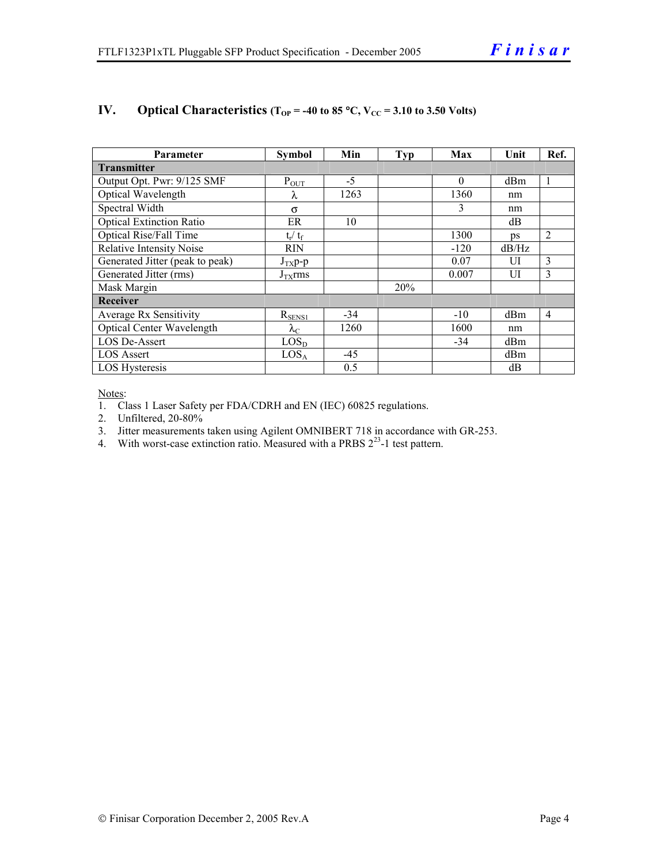| <b>Parameter</b>                 | <b>Symbol</b>     | Min   | <b>Typ</b> | Max      | Unit  | Ref.           |
|----------------------------------|-------------------|-------|------------|----------|-------|----------------|
| <b>Transmitter</b>               |                   |       |            |          |       |                |
| Output Opt. Pwr: 9/125 SMF       | $P_{OUT}$         | $-5$  |            | $\Omega$ | dBm   | 1              |
| Optical Wavelength               | λ                 | 1263  |            | 1360     | nm    |                |
| Spectral Width                   | $\sigma$          |       |            | 3        | nm    |                |
| <b>Optical Extinction Ratio</b>  | ER                | 10    |            |          | dB    |                |
| Optical Rise/Fall Time           | $t_r / t_f$       |       |            | 1300     | ps    | 2              |
| <b>Relative Intensity Noise</b>  | <b>RIN</b>        |       |            | $-120$   | dB/Hz |                |
| Generated Jitter (peak to peak)  | $J_{TX}$ p-p      |       |            | 0.07     | UI    | 3              |
| Generated Jitter (rms)           | $J_{TX}$ rms      |       |            | 0.007    | UI    | 3              |
| Mask Margin                      |                   |       | 20%        |          |       |                |
| Receiver                         |                   |       |            |          |       |                |
| Average Rx Sensitivity           | $R_{\rm SENS1}$   | $-34$ |            | $-10$    | dBm   | $\overline{4}$ |
| <b>Optical Center Wavelength</b> | $\lambda_{\rm C}$ | 1260  |            | 1600     | nm    |                |
| <b>LOS De-Assert</b>             | LOS <sub>D</sub>  |       |            | -34      | dBm   |                |
| <b>LOS Assert</b>                | LOS <sub>A</sub>  | $-45$ |            |          | dBm   |                |
| <b>LOS</b> Hysteresis            |                   | 0.5   |            |          | dB    |                |

#### **IV.** Optical Characteristics ( $T_{OP}$  = -40 to 85 °C,  $V_{CC}$  = 3.10 to 3.50 Volts)

Notes:

1. Class 1 Laser Safety per FDA/CDRH and EN (IEC) 60825 regulations.

2. Unfiltered, 20-80%

- 3. Jitter measurements taken using Agilent OMNIBERT 718 in accordance with GR-253.
- 4. With worst-case extinction ratio. Measured with a PRBS  $2^{23}$ -1 test pattern.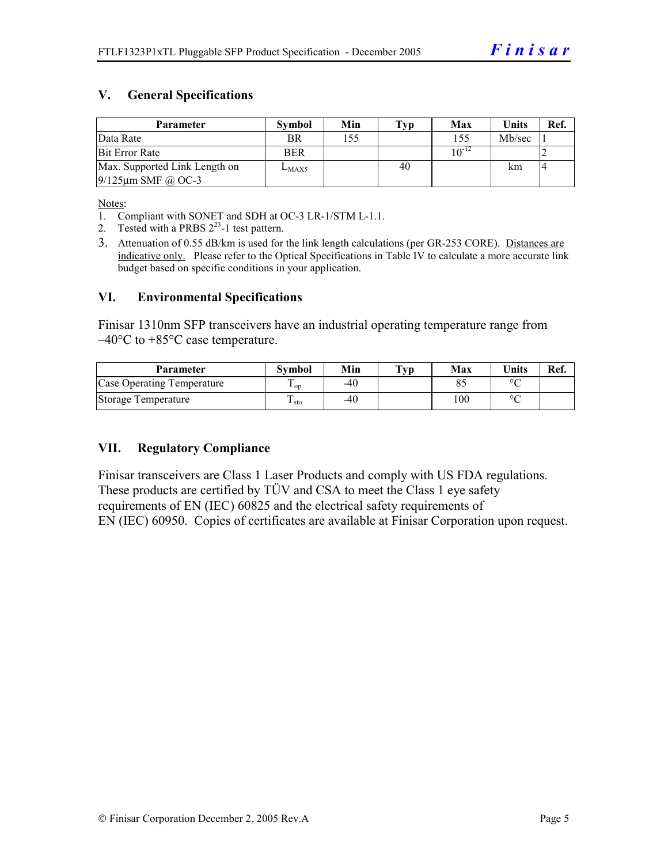#### **V. General Specifications**

| Parameter                     | <b>Symbol</b> | Min | Typ | Max        | <b>Units</b> | Ref.           |
|-------------------------------|---------------|-----|-----|------------|--------------|----------------|
| Data Rate                     | BR            | 155 |     | 155        | Mb/sec       |                |
| <b>Bit Error Rate</b>         | <b>BER</b>    |     |     | $10^{-12}$ |              |                |
| Max. Supported Link Length on | $L_{MAX5}$    |     | 40  |            | km           | $\overline{4}$ |
| $9/125 \mu m$ SMF @ OC-3      |               |     |     |            |              |                |

Notes:

- 1. Compliant with SONET and SDH at OC-3 LR-1/STM L-1.1.
- 2. Tested with a PRBS  $2^{23}$ -1 test pattern.
- 3. Attenuation of 0.55 dB/km is used for the link length calculations (per GR-253 CORE). Distances are indicative only. Please refer to the Optical Specifications in Table IV to calculate a more accurate link budget based on specific conditions in your application.

#### **VI. Environmental Specifications**

Finisar 1310nm SFP transceivers have an industrial operating temperature range from  $-40^{\circ}$ C to  $+85^{\circ}$ C case temperature.

| Parameter                  | Svmbol | Min | $\mathbf{T}_{\mathbf{V}\mathbf{p}}$ | Max | <b>Units</b> | Ref. |
|----------------------------|--------|-----|-------------------------------------|-----|--------------|------|
| Case Operating Temperature | ' op   | -40 |                                     |     | $\circ$      |      |
| Storage Temperature        | ⊥ sto  | -40 |                                     | 100 | $\sim$       |      |

#### **VII. Regulatory Compliance**

Finisar transceivers are Class 1 Laser Products and comply with US FDA regulations. These products are certified by TÜV and CSA to meet the Class 1 eye safety requirements of EN (IEC) 60825 and the electrical safety requirements of EN (IEC) 60950. Copies of certificates are available at Finisar Corporation upon request.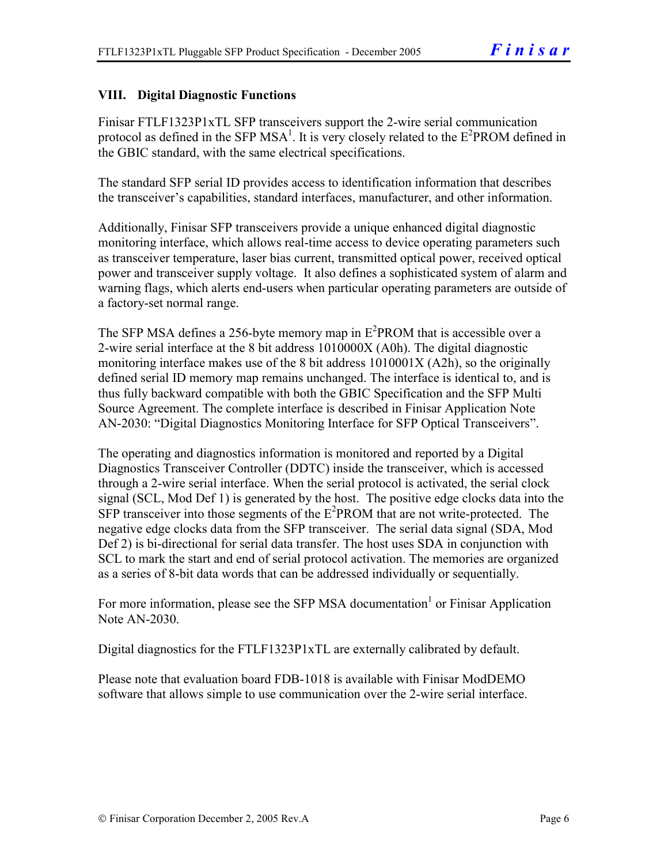#### **VIII. Digital Diagnostic Functions**

Finisar FTLF1323P1xTL SFP transceivers support the 2-wire serial communication protocol as defined in the SFP MSA<sup>1</sup>. It is very closely related to the  $E^2$ PROM defined in the GBIC standard, with the same electrical specifications.

The standard SFP serial ID provides access to identification information that describes the transceiver's capabilities, standard interfaces, manufacturer, and other information.

Additionally, Finisar SFP transceivers provide a unique enhanced digital diagnostic monitoring interface, which allows real-time access to device operating parameters such as transceiver temperature, laser bias current, transmitted optical power, received optical power and transceiver supply voltage. It also defines a sophisticated system of alarm and warning flags, which alerts end-users when particular operating parameters are outside of a factory-set normal range.

The SFP MSA defines a 256-byte memory map in  $E^2$ PROM that is accessible over a 2-wire serial interface at the 8 bit address 1010000X (A0h). The digital diagnostic monitoring interface makes use of the 8 bit address 1010001X (A2h), so the originally defined serial ID memory map remains unchanged. The interface is identical to, and is thus fully backward compatible with both the GBIC Specification and the SFP Multi Source Agreement. The complete interface is described in Finisar Application Note AN-2030: "Digital Diagnostics Monitoring Interface for SFP Optical Transceivers".

The operating and diagnostics information is monitored and reported by a Digital Diagnostics Transceiver Controller (DDTC) inside the transceiver, which is accessed through a 2-wire serial interface. When the serial protocol is activated, the serial clock signal (SCL, Mod Def 1) is generated by the host. The positive edge clocks data into the  $SFP$  transceiver into those segments of the  $E^2$ PROM that are not write-protected. The negative edge clocks data from the SFP transceiver. The serial data signal (SDA, Mod Def 2) is bi-directional for serial data transfer. The host uses SDA in conjunction with SCL to mark the start and end of serial protocol activation. The memories are organized as a series of 8-bit data words that can be addressed individually or sequentially.

For more information, please see the SFP MSA documentation<sup>1</sup> or Finisar Application Note AN-2030.

Digital diagnostics for the FTLF1323P1xTL are externally calibrated by default.

Please note that evaluation board FDB-1018 is available with Finisar ModDEMO software that allows simple to use communication over the 2-wire serial interface.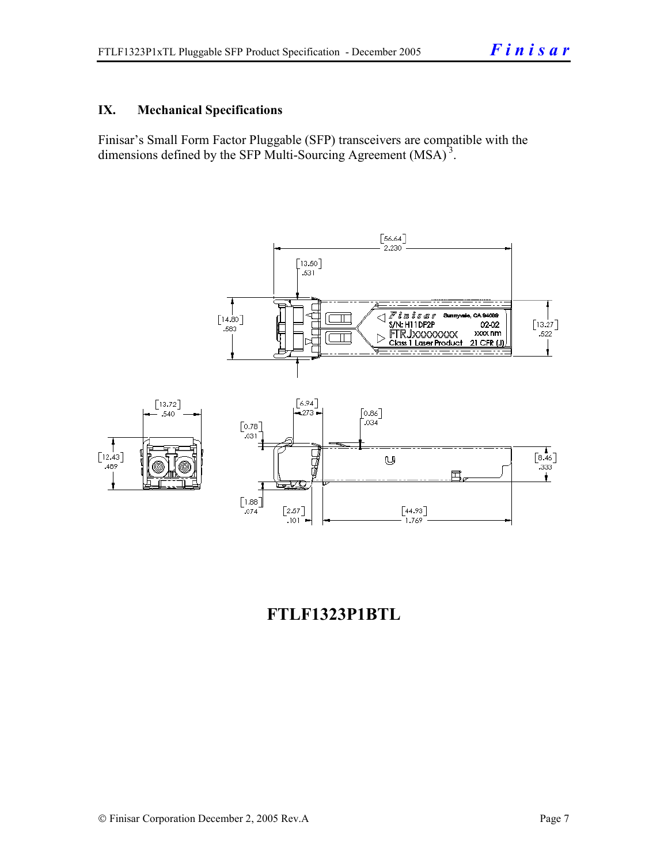#### **IX. Mechanical Specifications**

Finisar's Small Form Factor Pluggable (SFP) transceivers are compatible with the dimensions defined by the SFP Multi-Sourcing Agreement (MSA)<sup>3</sup>.



# **FTLF1323P1BTL**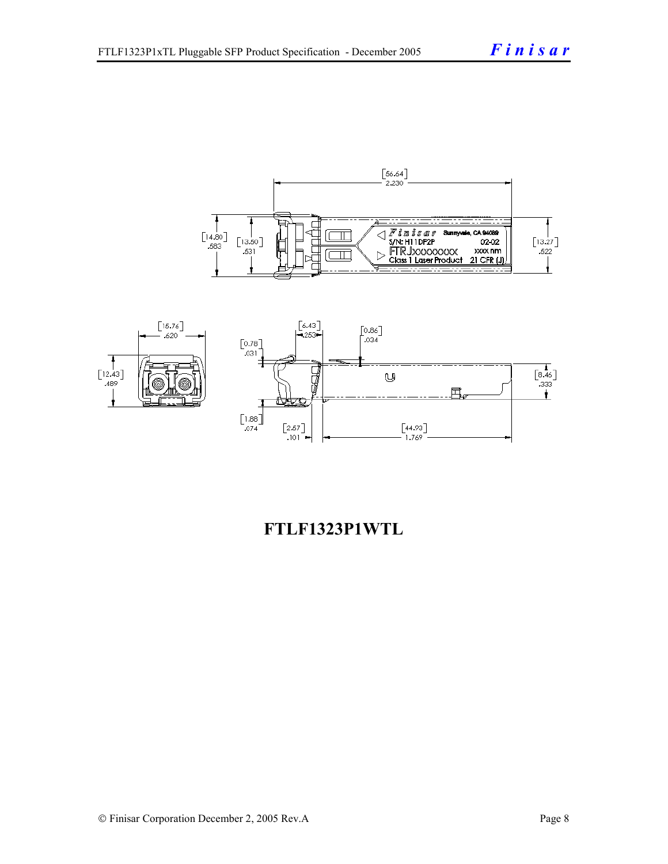



## **FTLF1323P1WTL**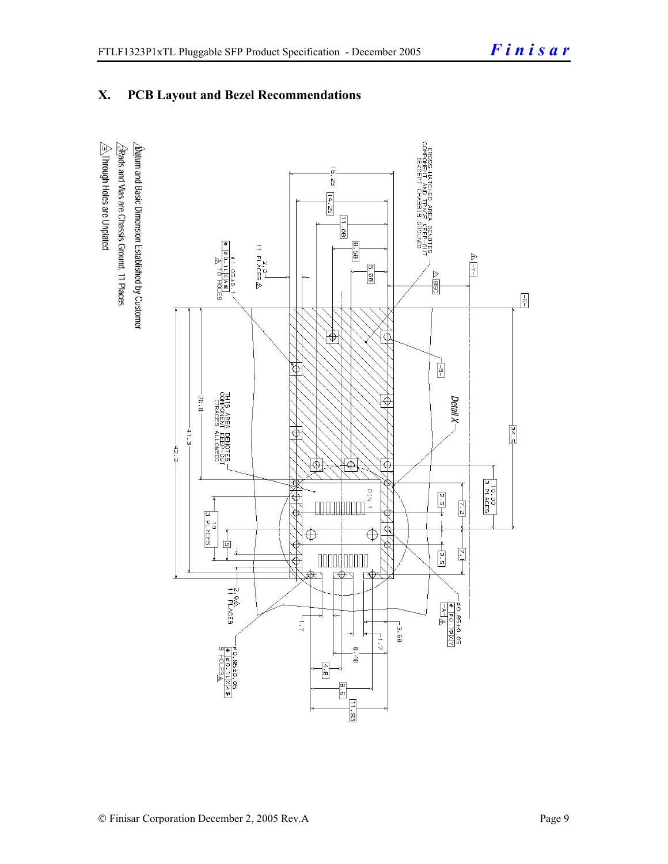## **X. PCB Layout and Bezel Recommendations**

 $\hat{\triangle}$ Through Holes are Unplated  $\Delta$ atum and Basic Dimension Established by Customer  $\triangle$ Rads and Vias are Chassis Ground, 11 Places

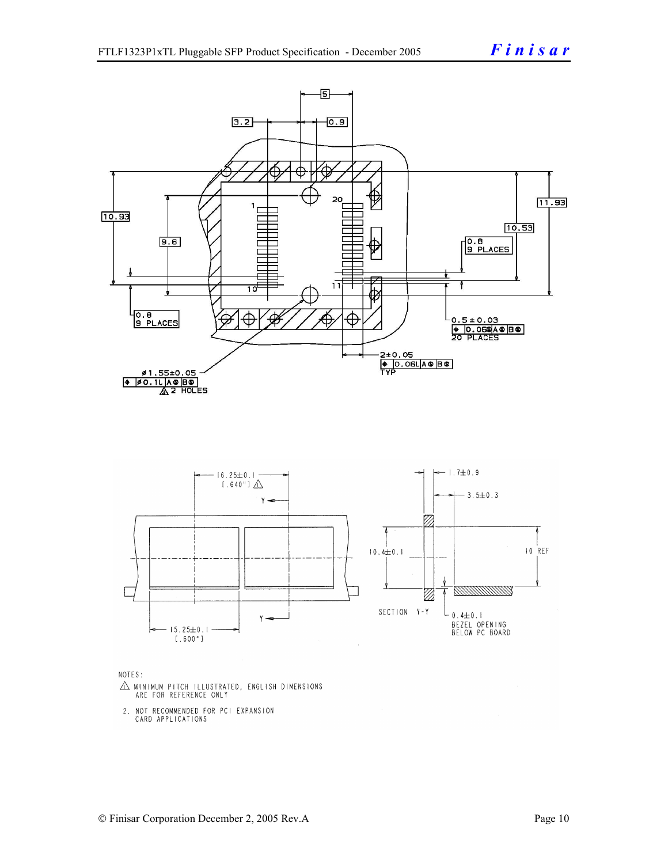

NOTES:

- $\triangle$  MINIMUM PITCH ILLUSTRATED, ENGLISH DIMENSIONS ARE FOR REFERENCE ONLY
- 2. NOT RECOMMENDED FOR PCI EXPANSION CARD APPLICATIONS